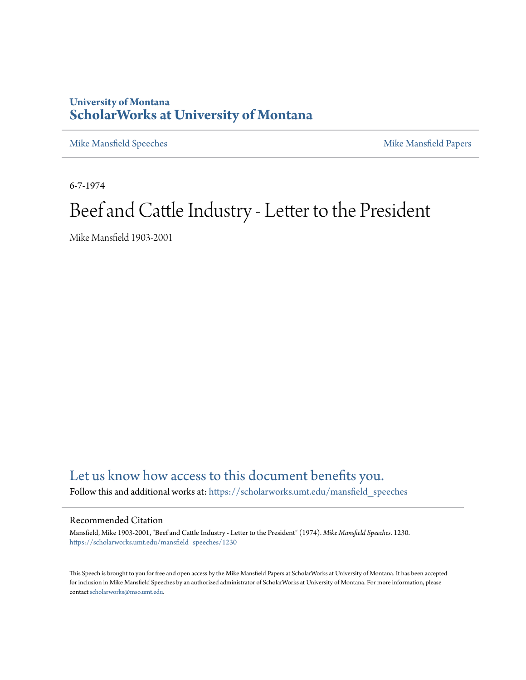## **University of Montana [ScholarWorks at University of Montana](https://scholarworks.umt.edu?utm_source=scholarworks.umt.edu%2Fmansfield_speeches%2F1230&utm_medium=PDF&utm_campaign=PDFCoverPages)**

[Mike Mansfield Speeches](https://scholarworks.umt.edu/mansfield_speeches?utm_source=scholarworks.umt.edu%2Fmansfield_speeches%2F1230&utm_medium=PDF&utm_campaign=PDFCoverPages) **[Mike Mansfield Papers](https://scholarworks.umt.edu/mike_mansfield_papers?utm_source=scholarworks.umt.edu%2Fmansfield_speeches%2F1230&utm_medium=PDF&utm_campaign=PDFCoverPages)** Mike Mansfield Papers

6-7-1974

## Beef and Cattle Industry - Letter to the President

Mike Mansfield 1903-2001

## [Let us know how access to this document benefits you.](https://goo.gl/forms/s2rGfXOLzz71qgsB2)

Follow this and additional works at: [https://scholarworks.umt.edu/mansfield\\_speeches](https://scholarworks.umt.edu/mansfield_speeches?utm_source=scholarworks.umt.edu%2Fmansfield_speeches%2F1230&utm_medium=PDF&utm_campaign=PDFCoverPages)

## Recommended Citation

Mansfield, Mike 1903-2001, "Beef and Cattle Industry - Letter to the President" (1974). *Mike Mansfield Speeches*. 1230. [https://scholarworks.umt.edu/mansfield\\_speeches/1230](https://scholarworks.umt.edu/mansfield_speeches/1230?utm_source=scholarworks.umt.edu%2Fmansfield_speeches%2F1230&utm_medium=PDF&utm_campaign=PDFCoverPages)

This Speech is brought to you for free and open access by the Mike Mansfield Papers at ScholarWorks at University of Montana. It has been accepted for inclusion in Mike Mansfield Speeches by an authorized administrator of ScholarWorks at University of Montana. For more information, please contact [scholarworks@mso.umt.edu.](mailto:scholarworks@mso.umt.edu)